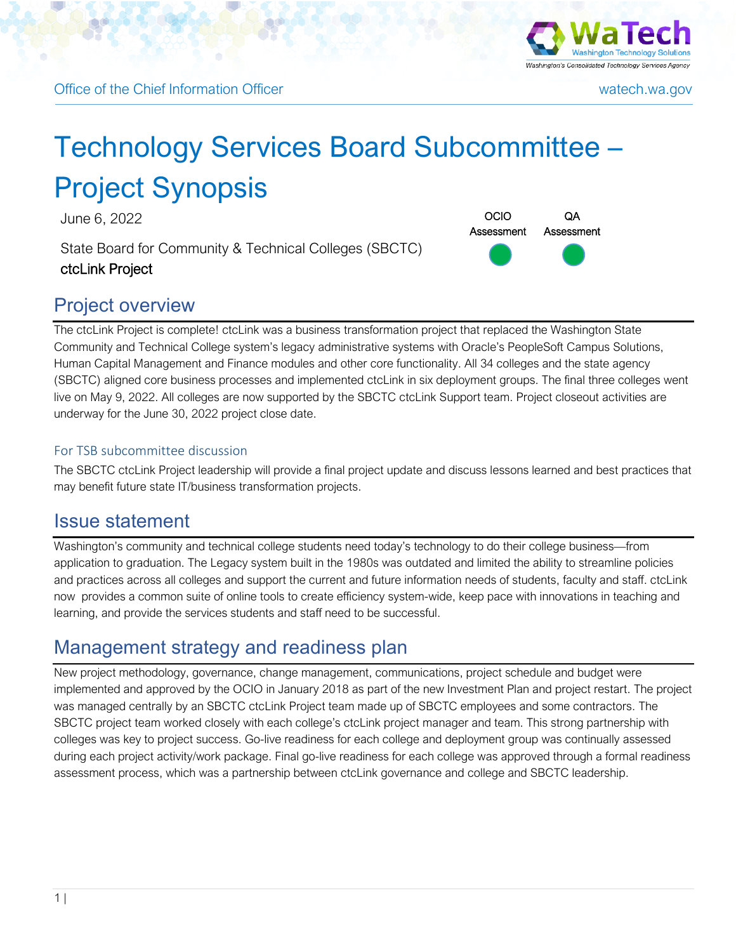



# Technology Services Board Subcommittee – Project Synopsis

June 6, 2022 **OCIO** 

State Board for Community & Technical Colleges (SBCTC) ctcLink Project

### Project overview



The ctcLink Project is complete! ctcLink was a business transformation project that replaced the Washington State Community and Technical College system's legacy administrative systems with Oracle's PeopleSoft Campus Solutions, Human Capital Management and Finance modules and other core functionality. All 34 colleges and the state agency (SBCTC) aligned core business processes and implemented ctcLink in six deployment groups. The final three colleges went live on May 9, 2022. All colleges are now supported by the SBCTC ctcLink Support team. Project closeout activities are underway for the June 30, 2022 project close date.

#### For TSB subcommittee discussion

The SBCTC ctcLink Project leadership will provide a final project update and discuss lessons learned and best practices that may benefit future state IT/business transformation projects.

#### Issue statement

Washington's community and technical college students need today's technology to do their college business—from application to graduation. The Legacy system built in the 1980s was outdated and limited the ability to streamline policies and practices across all colleges and support the current and future information needs of students, faculty and staff. ctcLink now provides a common suite of online tools to create efficiency system-wide, keep pace with innovations in teaching and learning, and provide the services students and staff need to be successful.

### Management strategy and readiness plan

New project methodology, governance, change management, communications, project schedule and budget were implemented and approved by the OCIO in January 2018 as part of the new Investment Plan and project restart. The project was managed centrally by an SBCTC ctcLink Project team made up of SBCTC employees and some contractors. The SBCTC project team worked closely with each college's ctcLink project manager and team. This strong partnership with colleges was key to project success. Go-live readiness for each college and deployment group was continually assessed during each project activity/work package. Final go-live readiness for each college was approved through a formal readiness assessment process, which was a partnership between ctcLink governance and college and SBCTC leadership.